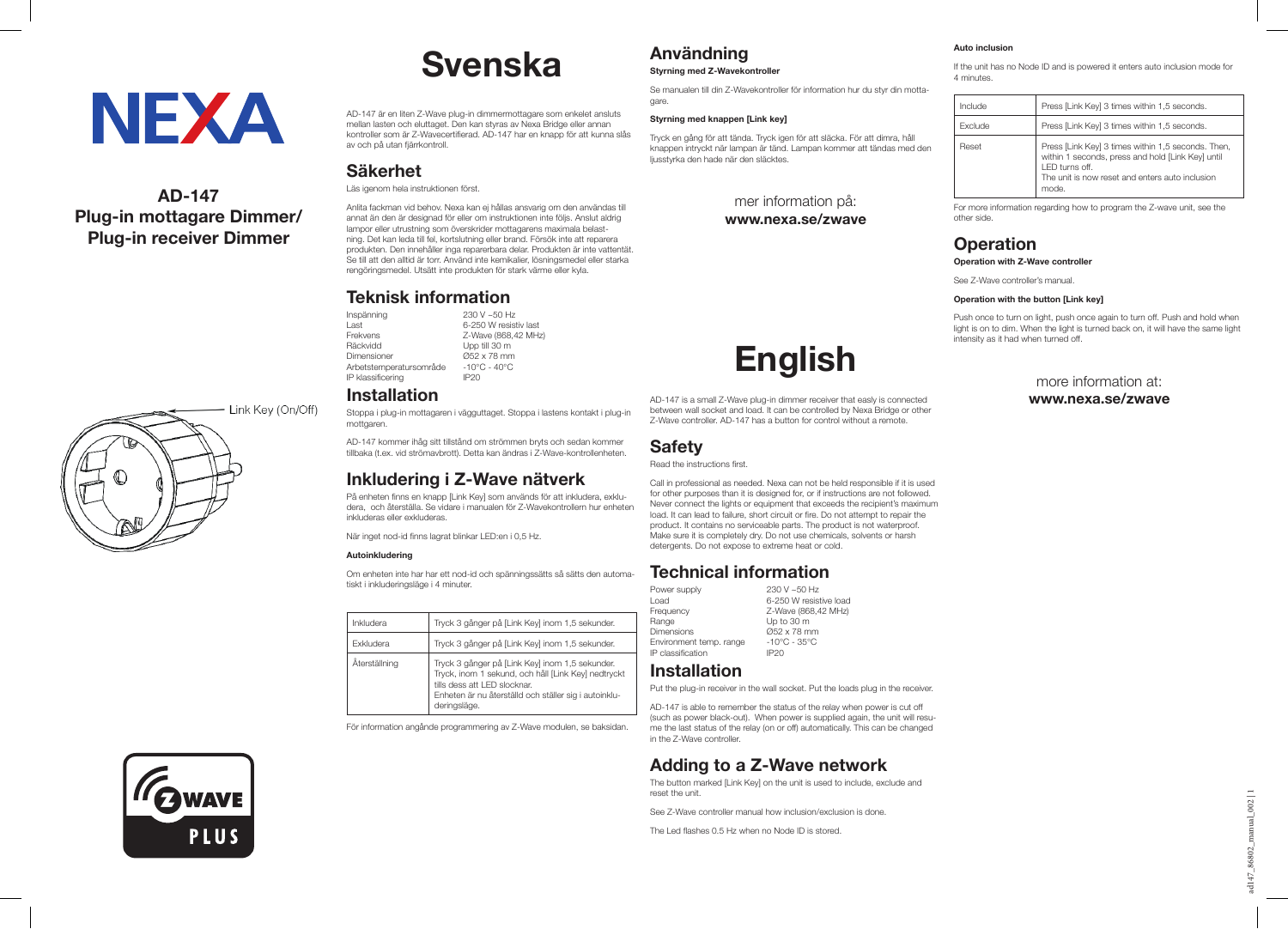# **NEXA**

## **AD-147 Plug-in mottagare Dimmer/ Plug-in receiver Dimmer**



# **Svenska**

AD-147 är en liten Z-Wave plug-in dimmermottagare som enkelet ansluts mellan lasten och eluttaget. Den kan styras av Nexa Bridge eller annan kontroller som är Z-Wavecertifierad. AD-147 har en knapp för att kunna slås av och på utan fjärrkontroll.

#### **Säkerhet**

Läs igenom hela instruktionen först.

Anlita fackman vid behov. Nexa kan ej hållas ansvarig om den användas till annat än den är designad för eller om instruktionen inte följs. Anslut aldrig lampor eller utrustning som överskrider mottagarens maximala belastning. Det kan leda till fel, kortslutning eller brand. Försök inte att reparera produkten. Den innehåller inga reparerbara delar. Produkten är inte vattentät. Se till att den alltid är torr. Använd inte kemikalier, lösningsmedel eller starka rengöringsmedel. Utsätt inte produkten för stark värme eller kyla.

## **Teknisk information**

Inspänning<br>Last Last 6-250 W resistiv last<br>Frekvens 7-Wave (868.42 MH; Frekvens Z-Wave (868,42 MHz)<br>Räckvidd Upp till 30 m Räckvidd Upp till 30 m<br>Dimensioner Ø52 x 78 mm  $Ø52 \times 78$  mm<br>-10°C - 40°C Arbetstemperatursområde -10°C<br>IP klassificering - IP20 IP klassificering

## **Installation**

Stoppa i plug-in mottagaren i vägguttaget. Stoppa i lastens kontakt i plug-in mottgaren.

AD-147 kommer ihåg sitt tillstånd om strömmen bryts och sedan kommer tillbaka (t.ex. vid strömavbrott). Detta kan ändras i Z-Wave-kontrollenheten.

## **Inkludering i Z-Wave nätverk**

På enheten finns en knapp [Link Key] som används för att inkludera, exkludera, och återställa. Se vidare i manualen för Z-Wavekontrollern hur enheten inkluderas eller exkluderas.

När inget nod-id finns lagrat blinkar LED:en i 0,5 Hz.

#### **Autoinkludering**

Om enheten inte har har ett nod-id och spänningssätts så sätts den automatiskt i inkluderingsläge i 4 minuter.

| Inkludera        | Tryck 3 gånger på [Link Key] inom 1,5 sekunder.                                                                                                                                                                  |
|------------------|------------------------------------------------------------------------------------------------------------------------------------------------------------------------------------------------------------------|
| <b>Fxkludera</b> | Tryck 3 gånger på [Link Key] inom 1,5 sekunder.                                                                                                                                                                  |
| Äterställning    | Tryck 3 gånger på [Link Key] inom 1,5 sekunder.<br>Tryck, inom 1 sekund, och håll [Link Key] nedtryckt<br>tills dess att I FD slocknar.<br>Enheten är nu återställd och ställer sig i autoinklu-<br>derinasläge. |

För information angånde programmering av Z-Wave modulen, se baksidan.

## **Användning**

**Styrning med Z-Wavekontroller**

Se manualen till din Z-Wavekontroller för information hur du styr din mottagare.

#### **Styrning med knappen [Link key]**

**Safety** Read the instructions first.

Power supply

Environment temp. range IP classification IP20 **Installation**

in the Z-Wave controller.

reset the unit.

Tryck en gång för att tända. Tryck igen för att släcka. För att dimra, håll knappen intryckt när lampan är tänd. Lampan kommer att tändas med den ljusstyrka den hade när den släcktes.

## mer information på:

**www.nexa.se/zwave**

**English**

AD-147 is a small Z-Wave plug-in dimmer receiver that easly is connected between wall socket and load. It can be controlled by Nexa Bridge or other Z-Wave controller. AD-147 has a button for control without a remote.

Call in professional as needed. Nexa can not be held responsible if it is used for other purposes than it is designed for, or if instructions are not followed. Never connect the lights or equipment that exceeds the recipient's maximum load. It can lead to failure, short circuit or fire. Do not attempt to repair the product. It contains no serviceable parts. The product is not waterproof. Make sure it is completely dry. Do not use chemicals, solvents or harsh

 $0.052 \times 78$  mm<br>-10°C - 35°C

Put the plug-in receiver in the wall socket. Put the loads plug in the receiver. AD-147 is able to remember the status of the relay when power is cut off (such as power black-out). When power is supplied again, the unit will resume the last status of the relay (on or off) automatically. This can be changed

**Adding to a Z-Wave network** The button marked [Link Key] on the unit is used to include, exclude and

See Z-Wave controller manual how inclusion/exclusion is done. The Led flashes 0.5 Hz when no Node ID is stored.

detergents. Do not expose to extreme heat or cold.

**Technical information**<br>Power supply

Load 6-250 W resistive load<br>Frequency 7-Wave (868 42 MHz) Frequency  $Z$ -Wave (868,42 MHz)<br>Range Up to 30 m Range Up to 30 m<br>Dimensions 652 x 78 m

#### **Auto inclusion**

If the unit has no Node ID and is powered it enters auto inclusion mode for 4 minutes.

| Include | Press [Link Key] 3 times within 1,5 seconds.                                                                                                                                          |
|---------|---------------------------------------------------------------------------------------------------------------------------------------------------------------------------------------|
| Exclude | Press [Link Key] 3 times within 1,5 seconds.                                                                                                                                          |
| Reset   | Press [Link Key] 3 times within 1,5 seconds. Then,<br>within 1 seconds, press and hold [Link Key] until<br>LED turns off.<br>The unit is now reset and enters auto inclusion<br>mode. |

For more information regarding how to program the Z-wave unit, see the other side.

## **Operation**

**Operation with Z-Wave controller**

See Z-Wave controller's manual.

#### **Operation with the button [Link key]**

Push once to turn on light, push once again to turn off. Push and hold when light is on to dim. When the light is turned back on, it will have the same light intensity as it had when turned off.

> more information at: **www.nexa.se/zwave**

**ICOWAVE** PLUS